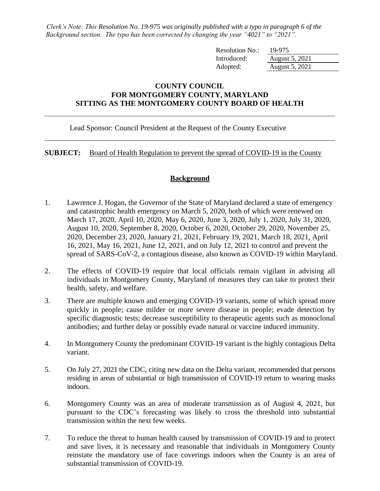*Clerk's Note: This Resolution No. 19-975 was originally published with a typo in paragraph 6 of the Background section. The typo has been corrected by changing the year "4021" to "2021".*

| Resolution No.: | 19-975         |
|-----------------|----------------|
| Introduced:     | August 5, 2021 |
| Adopted:        | August 5, 2021 |

## **COUNTY COUNCIL FOR MONTGOMERY COUNTY, MARYLAND SITTING AS THE MONTGOMERY COUNTY BOARD OF HEALTH**

Lead Sponsor: Council President at the Request of the County Executive

**SUBJECT:** Board of Health Regulation to prevent the spread of COVID-19 in the County

## **Background**

- 1. Lawrence J. Hogan, the Governor of the State of Maryland declared a state of emergency and catastrophic health emergency on March 5, 2020, both of which were renewed on March 17, 2020, April 10, 2020, May 6, 2020, June 3, 2020, July 1, 2020, July 31, 2020, August 10, 2020, September 8, 2020, October 6, 2020, October 29, 2020, November 25, 2020, December 23, 2020, January 21, 2021, February 19, 2021, March 18, 2021, April 16, 2021, May 16, 2021, June 12, 2021, and on July 12, 2021 to control and prevent the spread of SARS-CoV-2, a contagious disease, also known as COVID-19 within Maryland.
- 2. The effects of COVID-19 require that local officials remain vigilant in advising all individuals in Montgomery County, Maryland of measures they can take to protect their health, safety, and welfare.
- 3. There are multiple known and emerging COVID-19 variants, some of which spread more quickly in people; cause milder or more severe disease in people; evade detection by specific diagnostic tests; decrease susceptibility to therapeutic agents such as monoclonal antibodies; and further delay or possibly evade natural or vaccine induced immunity.
- 4. In Montgomery County the predominant COVID-19 variant is the highly contagious Delta variant.
- 5. On July 27, 2021 the CDC, citing new data on the Delta variant, recommended that persons residing in areas of substantial or high transmission of COVID-19 return to wearing masks indoors.
- 6. Montgomery County was an area of moderate transmission as of August 4, 2021, but pursuant to the CDC's forecasting was likely to cross the threshold into substantial transmission within the next few weeks.
- 7. To reduce the threat to human health caused by transmission of COVID-19 and to protect and save lives, it is necessary and reasonable that individuals in Montgomery County reinstate the mandatory use of face coverings indoors when the County is an area of substantial transmission of COVID-19.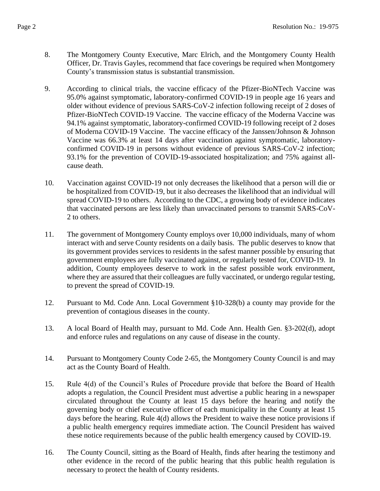- 8. The Montgomery County Executive, Marc Elrich, and the Montgomery County Health Officer, Dr. Travis Gayles, recommend that face coverings be required when Montgomery County's transmission status is substantial transmission.
- 9. According to clinical trials, the vaccine efficacy of the Pfizer-BioNTech Vaccine was 95.0% against symptomatic, laboratory-confirmed COVID-19 in people age 16 years and older without evidence of previous SARS-CoV-2 infection following receipt of 2 doses of Pfizer-BioNTech COVID-19 Vaccine. The vaccine efficacy of the Moderna Vaccine was 94.1% against symptomatic, laboratory-confirmed COVID-19 following receipt of 2 doses of Moderna COVID-19 Vaccine. The vaccine efficacy of the Janssen/Johnson & Johnson Vaccine was 66.3% at least 14 days after vaccination against symptomatic, laboratoryconfirmed COVID-19 in persons without evidence of previous SARS-CoV-2 infection; 93.1% for the prevention of COVID-19-associated hospitalization; and 75% against allcause death.
- 10. Vaccination against COVID-19 not only decreases the likelihood that a person will die or be hospitalized from COVID-19, but it also decreases the likelihood that an individual will spread COVID-19 to others. According to the CDC, a growing body of evidence indicates that vaccinated persons are less likely than unvaccinated persons to transmit SARS-CoV-2 to others.
- 11. The government of Montgomery County employs over 10,000 individuals, many of whom interact with and serve County residents on a daily basis. The public deserves to know that its government provides services to residents in the safest manner possible by ensuring that government employees are fully vaccinated against, or regularly tested for, COVID-19. In addition, County employees deserve to work in the safest possible work environment, where they are assured that their colleagues are fully vaccinated, or undergo regular testing, to prevent the spread of COVID-19.
- 12. Pursuant to Md. Code Ann. Local Government §10-328(b) a county may provide for the prevention of contagious diseases in the county.
- 13. A local Board of Health may, pursuant to Md. Code Ann. Health Gen. §3-202(d), adopt and enforce rules and regulations on any cause of disease in the county.
- 14. Pursuant to Montgomery County Code 2-65, the Montgomery County Council is and may act as the County Board of Health.
- 15. Rule 4(d) of the Council's Rules of Procedure provide that before the Board of Health adopts a regulation, the Council President must advertise a public hearing in a newspaper circulated throughout the County at least 15 days before the hearing and notify the governing body or chief executive officer of each municipality in the County at least 15 days before the hearing. Rule 4(d) allows the President to waive these notice provisions if a public health emergency requires immediate action. The Council President has waived these notice requirements because of the public health emergency caused by COVID-19.
- 16. The County Council, sitting as the Board of Health, finds after hearing the testimony and other evidence in the record of the public hearing that this public health regulation is necessary to protect the health of County residents.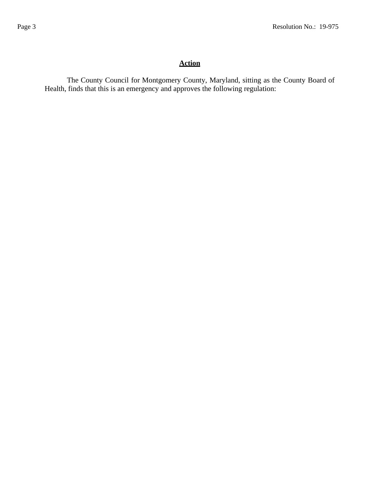## **Action**

The County Council for Montgomery County, Maryland, sitting as the County Board of Health, finds that this is an emergency and approves the following regulation: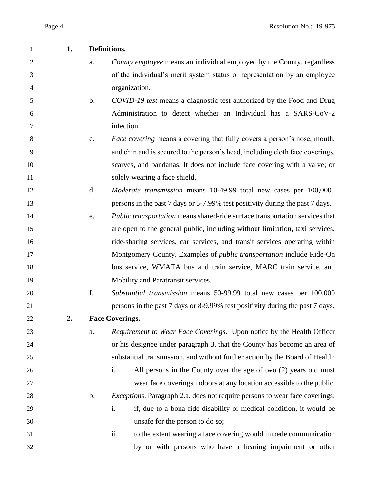| 1              | 1. | Definitions.   |                                                                                     |
|----------------|----|----------------|-------------------------------------------------------------------------------------|
| $\overline{2}$ |    | a.             | County employee means an individual employed by the County, regardless              |
| 3              |    |                | of the individual's merit system status or representation by an employee            |
| 4              |    |                | organization.                                                                       |
| 5              |    | $\mathbf b$ .  | COVID-19 test means a diagnostic test authorized by the Food and Drug               |
| 6              |    |                | Administration to detect whether an Individual has a SARS-CoV-2                     |
| 7              |    |                | infection.                                                                          |
| 8              |    | $\mathbf{c}$ . | <i>Face covering</i> means a covering that fully covers a person's nose, mouth,     |
| 9              |    |                | and chin and is secured to the person's head, including cloth face coverings,       |
| 10             |    |                | scarves, and bandanas. It does not include face covering with a valve; or           |
| 11             |    |                | solely wearing a face shield.                                                       |
| 12             |    | d.             | <i>Moderate transmission</i> means 10-49.99 total new cases per 100,000             |
| 13             |    |                | persons in the past 7 days or 5-7.99% test positivity during the past 7 days.       |
| 14             |    | e.             | <i>Public transportation</i> means shared-ride surface transportation services that |
| 15             |    |                | are open to the general public, including without limitation, taxi services,        |
| 16             |    |                | ride-sharing services, car services, and transit services operating within          |
| 17             |    |                | Montgomery County. Examples of <i>public transportation</i> include Ride-On         |
| 18             |    |                | bus service, WMATA bus and train service, MARC train service, and                   |
| 19             |    |                | Mobility and Paratransit services.                                                  |
| 20             |    | f.             | Substantial transmission means 50-99.99 total new cases per 100,000                 |
| 21             |    |                | persons in the past 7 days or 8-9.99% test positivity during the past 7 days.       |
| 22             | 2. |                | <b>Face Coverings.</b>                                                              |
| 23             |    | a.             | Requirement to Wear Face Coverings. Upon notice by the Health Officer               |
| 24             |    |                | or his designee under paragraph 3. that the County has become an area of            |
| 25             |    |                | substantial transmission, and without further action by the Board of Health:        |
| 26             |    |                | All persons in the County over the age of two (2) years old must<br>i.              |
| 27             |    |                | wear face coverings indoors at any location accessible to the public.               |
| 28             |    | $\mathbf b$ .  | <i>Exceptions</i> . Paragraph 2.a. does not require persons to wear face coverings: |
| 29             |    |                | if, due to a bona fide disability or medical condition, it would be<br>i.           |
| 30             |    |                | unsafe for the person to do so;                                                     |
| 31             |    |                | ii.<br>to the extent wearing a face covering would impede communication             |
| 32             |    |                | by or with persons who have a hearing impairment or other                           |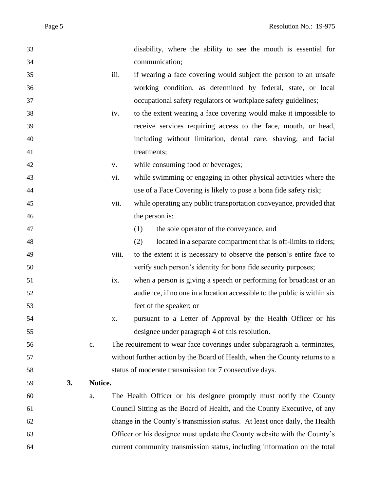| 33 |    |         |             | disability, where the ability to see the mouth is essential for             |
|----|----|---------|-------------|-----------------------------------------------------------------------------|
| 34 |    |         |             | communication;                                                              |
| 35 |    |         | iii.        | if wearing a face covering would subject the person to an unsafe            |
| 36 |    |         |             | working condition, as determined by federal, state, or local                |
| 37 |    |         |             | occupational safety regulators or workplace safety guidelines;              |
| 38 |    |         | iv.         | to the extent wearing a face covering would make it impossible to           |
| 39 |    |         |             | receive services requiring access to the face, mouth, or head,              |
| 40 |    |         |             | including without limitation, dental care, shaving, and facial              |
| 41 |    |         |             | treatments;                                                                 |
| 42 |    |         | ${\bf V}$ . | while consuming food or beverages;                                          |
| 43 |    |         | vi.         | while swimming or engaging in other physical activities where the           |
| 44 |    |         |             | use of a Face Covering is likely to pose a bona fide safety risk;           |
| 45 |    |         | vii.        | while operating any public transportation conveyance, provided that         |
| 46 |    |         |             | the person is:                                                              |
| 47 |    |         |             | the sole operator of the conveyance, and<br>(1)                             |
| 48 |    |         |             | located in a separate compartment that is off-limits to riders;<br>(2)      |
| 49 |    |         | viii.       | to the extent it is necessary to observe the person's entire face to        |
| 50 |    |         |             | verify such person's identity for bona fide security purposes;              |
| 51 |    |         | ix.         | when a person is giving a speech or performing for broadcast or an          |
| 52 |    |         |             | audience, if no one in a location accessible to the public is within six    |
| 53 |    |         |             | feet of the speaker; or                                                     |
| 54 |    |         | х.          | pursuant to a Letter of Approval by the Health Officer or his               |
| 55 |    |         |             | designee under paragraph 4 of this resolution.                              |
| 56 |    | c.      |             | The requirement to wear face coverings under subparagraph a. terminates,    |
| 57 |    |         |             | without further action by the Board of Health, when the County returns to a |
| 58 |    |         |             | status of moderate transmission for 7 consecutive days.                     |
| 59 | 3. | Notice. |             |                                                                             |
| 60 |    | a.      |             | The Health Officer or his designee promptly must notify the County          |
| 61 |    |         |             | Council Sitting as the Board of Health, and the County Executive, of any    |
| 62 |    |         |             | change in the County's transmission status. At least once daily, the Health |
| 63 |    |         |             | Officer or his designee must update the County website with the County's    |
| 64 |    |         |             | current community transmission status, including information on the total   |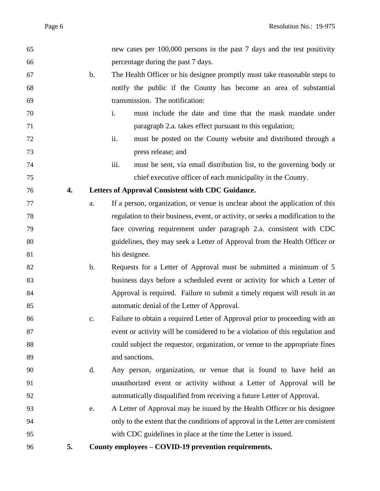| 65 |    |               | new cases per 100,000 persons in the past 7 days and the test positivity         |
|----|----|---------------|----------------------------------------------------------------------------------|
| 66 |    |               | percentage during the past 7 days.                                               |
| 67 |    | $\mathbf b$ . | The Health Officer or his designee promptly must take reasonable steps to        |
| 68 |    |               | notify the public if the County has become an area of substantial                |
| 69 |    |               | transmission. The notification:                                                  |
| 70 |    |               | i.<br>must include the date and time that the mask mandate under                 |
| 71 |    |               | paragraph 2.a. takes effect pursuant to this regulation;                         |
| 72 |    |               | must be posted on the County website and distributed through a<br>ii.            |
| 73 |    |               | press release; and                                                               |
| 74 |    |               | must be sent, via email distribution list, to the governing body or<br>iii.      |
| 75 |    |               | chief executive officer of each municipality in the County.                      |
| 76 | 4. |               | Letters of Approval Consistent with CDC Guidance.                                |
| 77 |    | a.            | If a person, organization, or venue is unclear about the application of this     |
| 78 |    |               | regulation to their business, event, or activity, or seeks a modification to the |
| 79 |    |               | face covering requirement under paragraph 2.a. consistent with CDC               |
| 80 |    |               | guidelines, they may seek a Letter of Approval from the Health Officer or        |
| 81 |    |               | his designee.                                                                    |
| 82 |    | $\mathbf b$ . | Requests for a Letter of Approval must be submitted a minimum of 5               |
| 83 |    |               | business days before a scheduled event or activity for which a Letter of         |
| 84 |    |               | Approval is required. Failure to submit a timely request will result in an       |
| 85 |    |               | automatic denial of the Letter of Approval.                                      |
| 86 |    | c.            | Failure to obtain a required Letter of Approval prior to proceeding with an      |
| 87 |    |               | event or activity will be considered to be a violation of this regulation and    |
| 88 |    |               | could subject the requestor, organization, or venue to the appropriate fines     |
| 89 |    |               | and sanctions.                                                                   |
| 90 |    | d.            | Any person, organization, or venue that is found to have held an                 |
| 91 |    |               | unauthorized event or activity without a Letter of Approval will be              |
| 92 |    |               | automatically disqualified from receiving a future Letter of Approval.           |
| 93 |    | e.            | A Letter of Approval may be issued by the Health Officer or his designee         |
| 94 |    |               | only to the extent that the conditions of approval in the Letter are consistent  |
| 95 |    |               | with CDC guidelines in place at the time the Letter is issued.                   |
| 96 | 5. |               | County employees - COVID-19 prevention requirements.                             |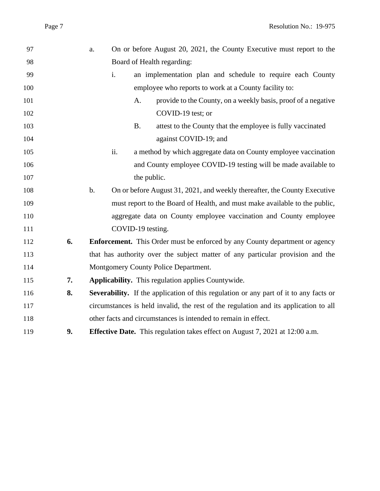| 97  |    | a.    |                   | On or before August 20, 2021, the County Executive must report to the                 |
|-----|----|-------|-------------------|---------------------------------------------------------------------------------------|
| 98  |    |       |                   | Board of Health regarding:                                                            |
| 99  |    | i.    |                   | an implementation plan and schedule to require each County                            |
| 100 |    |       |                   | employee who reports to work at a County facility to:                                 |
| 101 |    |       | A.                | provide to the County, on a weekly basis, proof of a negative                         |
| 102 |    |       |                   | COVID-19 test; or                                                                     |
| 103 |    |       | <b>B.</b>         | attest to the County that the employee is fully vaccinated                            |
| 104 |    |       |                   | against COVID-19; and                                                                 |
| 105 |    | ii.   |                   | a method by which aggregate data on County employee vaccination                       |
| 106 |    |       |                   | and County employee COVID-19 testing will be made available to                        |
| 107 |    |       | the public.       |                                                                                       |
| 108 |    | $b$ . |                   | On or before August 31, 2021, and weekly thereafter, the County Executive             |
| 109 |    |       |                   | must report to the Board of Health, and must make available to the public,            |
| 110 |    |       |                   | aggregate data on County employee vaccination and County employee                     |
| 111 |    |       | COVID-19 testing. |                                                                                       |
| 112 | 6. |       |                   | <b>Enforcement.</b> This Order must be enforced by any County department or agency    |
| 113 |    |       |                   | that has authority over the subject matter of any particular provision and the        |
| 114 |    |       |                   | Montgomery County Police Department.                                                  |
| 115 | 7. |       |                   | Applicability. This regulation applies Countywide.                                    |
| 116 | 8. |       |                   | Severability. If the application of this regulation or any part of it to any facts or |
| 117 |    |       |                   | circumstances is held invalid, the rest of the regulation and its application to all  |
| 118 |    |       |                   | other facts and circumstances is intended to remain in effect.                        |
| 119 | 9. |       |                   | <b>Effective Date.</b> This regulation takes effect on August 7, 2021 at 12:00 a.m.   |
|     |    |       |                   |                                                                                       |